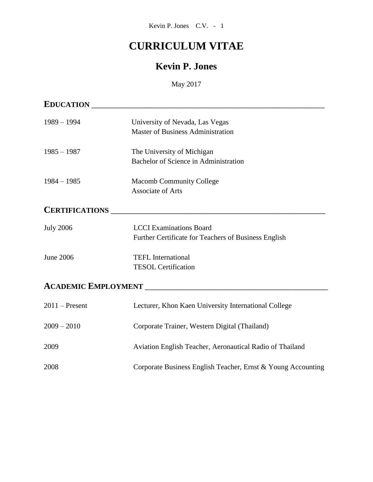# **CURRICULUM VITAE**

## **Kevin P. Jones**

May 2017

| <b>EDUCATION</b>      |                                                                                                                        |
|-----------------------|------------------------------------------------------------------------------------------------------------------------|
| $1989 - 1994$         | University of Nevada, Las Vegas                                                                                        |
|                       | <b>Master of Business Administration</b>                                                                               |
| $1985 - 1987$         | The University of Michigan                                                                                             |
|                       | Bachelor of Science in Administration                                                                                  |
| $1984 - 1985$         | <b>Macomb Community College</b>                                                                                        |
|                       | <b>Associate of Arts</b>                                                                                               |
| <b>CERTIFICATIONS</b> | <u> 1980 - Jan Barbara, martin a shekara tsa na shekara tsa 1980 - An tsa 1980 - An tsa 1980 - An tsa 1980 - An ts</u> |
| <b>July 2006</b>      | <b>LCCI</b> Examinations Board                                                                                         |
|                       | Further Certificate for Teachers of Business English                                                                   |
| <b>June 2006</b>      | <b>TEFL</b> International                                                                                              |
|                       | <b>TESOL Certification</b>                                                                                             |
|                       |                                                                                                                        |
| $2011$ – Present      | Lecturer, Khon Kaen University International College                                                                   |
| $2009 - 2010$         | Corporate Trainer, Western Digital (Thailand)                                                                          |
| 2009                  | Aviation English Teacher, Aeronautical Radio of Thailand                                                               |
| 2008                  | Corporate Business English Teacher, Ernst & Young Accounting                                                           |